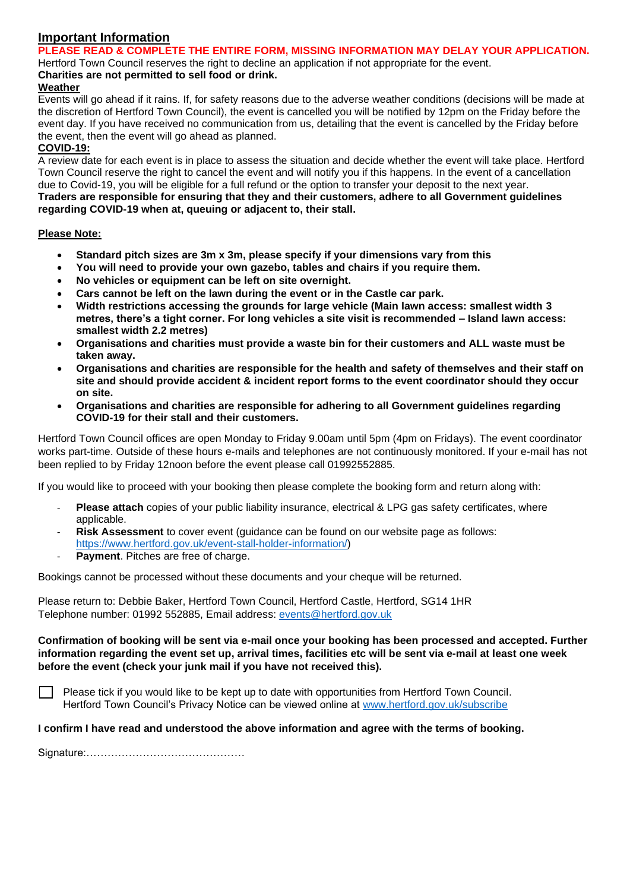# **Important Information**

## **PLEASE READ & COMPLETE THE ENTIRE FORM, MISSING INFORMATION MAY DELAY YOUR APPLICATION.**

Hertford Town Council reserves the right to decline an application if not appropriate for the event.

#### **Charities are not permitted to sell food or drink. Weather**

Events will go ahead if it rains. If, for safety reasons due to the adverse weather conditions (decisions will be made at the discretion of Hertford Town Council), the event is cancelled you will be notified by 12pm on the Friday before the event day. If you have received no communication from us, detailing that the event is cancelled by the Friday before the event, then the event will go ahead as planned.

# **COVID-19:**

A review date for each event is in place to assess the situation and decide whether the event will take place. Hertford Town Council reserve the right to cancel the event and will notify you if this happens. In the event of a cancellation due to Covid-19, you will be eligible for a full refund or the option to transfer your deposit to the next year. **Traders are responsible for ensuring that they and their customers, adhere to all Government guidelines regarding COVID-19 when at, queuing or adjacent to, their stall.**

### **Please Note:**

- **Standard pitch sizes are 3m x 3m, please specify if your dimensions vary from this**
- **You will need to provide your own gazebo, tables and chairs if you require them.**
- **No vehicles or equipment can be left on site overnight.**
- **Cars cannot be left on the lawn during the event or in the Castle car park.**
- **Width restrictions accessing the grounds for large vehicle (Main lawn access: smallest width 3 metres, there's a tight corner. For long vehicles a site visit is recommended – Island lawn access: smallest width 2.2 metres)**
- **Organisations and charities must provide a waste bin for their customers and ALL waste must be taken away.**
- **Organisations and charities are responsible for the health and safety of themselves and their staff on site and should provide accident & incident report forms to the event coordinator should they occur on site.**
- **Organisations and charities are responsible for adhering to all Government guidelines regarding COVID-19 for their stall and their customers.**

Hertford Town Council offices are open Monday to Friday 9.00am until 5pm (4pm on Fridays). The event coordinator works part-time. Outside of these hours e-mails and telephones are not continuously monitored. If your e-mail has not been replied to by Friday 12noon before the event please call 01992552885.

If you would like to proceed with your booking then please complete the booking form and return along with:

- **Please attach** copies of your public liability insurance, electrical & LPG gas safety certificates, where applicable.
- **Risk Assessment** to cover event (quidance can be found on our website page as follows: [https://www.hertford.gov.uk/event-stall-holder-information/\)](https://www.hertford.gov.uk/event-stall-holder-information/)
- Payment. Pitches are free of charge.

Bookings cannot be processed without these documents and your cheque will be returned.

Please return to: Debbie Baker, Hertford Town Council, Hertford Castle, Hertford, SG14 1HR Telephone number: 01992 552885, Email address: [events@hertford.gov.uk](mailto:events@hertford.gov.uk)

#### **Confirmation of booking will be sent via e-mail once your booking has been processed and accepted. Further information regarding the event set up, arrival times, facilities etc will be sent via e-mail at least one week before the event (check your junk mail if you have not received this).**

Please tick if you would like to be kept up to date with opportunities from Hertford Town Council. Hertford Town Council's Privacy Notice can be viewed online at [www.hertford.gov.uk/subscribe](http://www.hertford.gov.uk/subscribe)

### **I confirm I have read and understood the above information and agree with the terms of booking.**

Signature:………………………………………